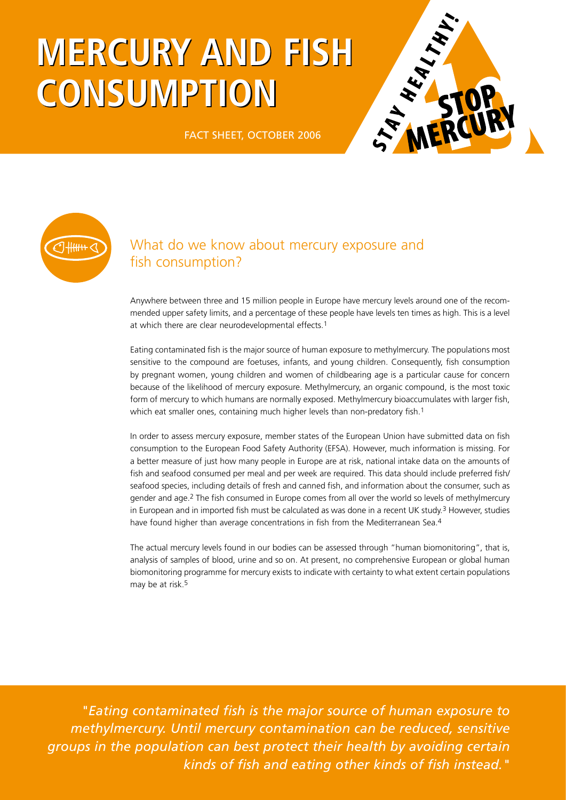# **MERCURY AND FISH MERCURY AND FISH CONSUMPTION CONSUMPTION**



FACT SHEET, OCTOBER 2006



# What do we know about mercury exposure and fish consumption?

Anywhere between three and 15 million people in Europe have mercury levels around one of the recommended upper safety limits, and a percentage of these people have levels ten times as high. This is a level at which there are clear neurodevelopmental effects.1

Eating contaminated fish is the major source of human exposure to methylmercury. The populations most sensitive to the compound are foetuses, infants, and young children. Consequently, fish consumption by pregnant women, young children and women of childbearing age is a particular cause for concern because of the likelihood of mercury exposure. Methylmercury, an organic compound, is the most toxic form of mercury to which humans are normally exposed. Methylmercury bioaccumulates with larger fish, which eat smaller ones, containing much higher levels than non-predatory fish.<sup>1</sup>

In order to assess mercury exposure, member states of the European Union have submitted data on fish consumption to the European Food Safety Authority (EFSA). However, much information is missing. For a better measure of just how many people in Europe are at risk, national intake data on the amounts of fish and seafood consumed per meal and per week are required. This data should include preferred fish/ seafood species, including details of fresh and canned fish, and information about the consumer, such as gender and age.2 The fish consumed in Europe comes from all over the world so levels of methylmercury in European and in imported fish must be calculated as was done in a recent UK study.<sup>3</sup> However, studies have found higher than average concentrations in fish from the Mediterranean Sea.<sup>4</sup>

The actual mercury levels found in our bodies can be assessed through "human biomonitoring", that is, analysis of samples of blood, urine and so on. At present, no comprehensive European or global human biomonitoring programme for mercury exists to indicate with certainty to what extent certain populations may be at risk.5

*"Eating contaminated fish is the major source of human exposure to methylmercury. Until mercury contamination can be reduced, sensitive groups in the population can best protect their health by avoiding certain kinds of fish and eating other kinds of fish instead."*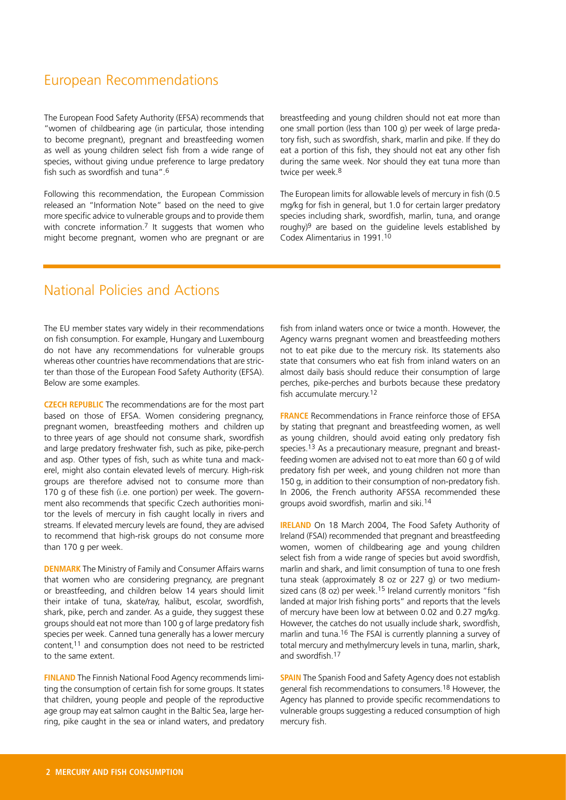# European Recommendations

The European Food Safety Authority (EFSA) recommends that "women of childbearing age (in particular, those intending to become pregnant), pregnant and breastfeeding women as well as young children select fish from a wide range of species, without giving undue preference to large predatory fish such as swordfish and tuna".6

Following this recommendation, the European Commission released an "Information Note" based on the need to give more specific advice to vulnerable groups and to provide them with concrete information.<sup>7</sup> It suggests that women who might become pregnant, women who are pregnant or are breastfeeding and young children should not eat more than one small portion (less than 100 g) per week of large predatory fish, such as swordfish, shark, marlin and pike. If they do eat a portion of this fish, they should not eat any other fish during the same week. Nor should they eat tuna more than twice per week.<sup>8</sup>

The European limits for allowable levels of mercury in fish (0.5 mg/kg for fish in general, but 1.0 for certain larger predatory species including shark, swordfish, marlin, tuna, and orange roughy)9 are based on the guideline levels established by Codex Alimentarius in 1991.10

# National Policies and Actions

The EU member states vary widely in their recommendations on fish consumption. For example, Hungary and Luxembourg do not have any recommendations for vulnerable groups whereas other countries have recommendations that are stricter than those of the European Food Safety Authority (EFSA). Below are some examples.

**Czech Republic** The recommendations are for the most part based on those of EFSA. Women considering pregnancy, pregnant women, breastfeeding mothers and children up to three years of age should not consume shark, swordfish and large predatory freshwater fish, such as pike, pike-perch and asp. Other types of fish, such as white tuna and mackerel, might also contain elevated levels of mercury. High-risk groups are therefore advised not to consume more than 170 g of these fish (i.e. one portion) per week. The government also recommends that specific Czech authorities monitor the levels of mercury in fish caught locally in rivers and streams. If elevated mercury levels are found, they are advised to recommend that high-risk groups do not consume more than 170 g per week.

**DENMARK** The Ministry of Family and Consumer Affairs warns that women who are considering pregnancy, are pregnant or breastfeeding, and children below 14 years should limit their intake of tuna, skate/ray, halibut, escolar, swordfish, shark, pike, perch and zander. As a guide, they suggest these groups should eat not more than 100 g of large predatory fish species per week. Canned tuna generally has a lower mercury content, 11 and consumption does not need to be restricted to the same extent.

**Finland** The Finnish National Food Agency recommends limiting the consumption of certain fish for some groups. It states that children, young people and people of the reproductive age group may eat salmon caught in the Baltic Sea, large herring, pike caught in the sea or inland waters, and predatory fish from inland waters once or twice a month. However, the Agency warns pregnant women and breastfeeding mothers not to eat pike due to the mercury risk. Its statements also state that consumers who eat fish from inland waters on an almost daily basis should reduce their consumption of large perches, pike-perches and burbots because these predatory fish accumulate mercury.<sup>12</sup>

**France** Recommendations in France reinforce those of EFSA by stating that pregnant and breastfeeding women, as well as young children, should avoid eating only predatory fish species.13 As a precautionary measure, pregnant and breastfeeding women are advised not to eat more than 60 g of wild predatory fish per week, and young children not more than 150 g, in addition to their consumption of non-predatory fish. In 2006, the French authority AFSSA recommended these groups avoid swordfish, marlin and siki.14

**IRELAND** On 18 March 2004, The Food Safety Authority of Ireland (FSAI) recommended that pregnant and breastfeeding women, women of childbearing age and young children select fish from a wide range of species but avoid swordfish, marlin and shark, and limit consumption of tuna to one fresh tuna steak (approximately 8 oz or 227 g) or two mediumsized cans (8 oz) per week.<sup>15</sup> Ireland currently monitors "fish landed at major Irish fishing ports" and reports that the levels of mercury have been low at between 0.02 and 0.27 mg/kg. However, the catches do not usually include shark, swordfish, marlin and tuna.16 The FSAI is currently planning a survey of total mercury and methylmercury levels in tuna, marlin, shark, and swordfish.17

**SPAIN** The Spanish Food and Safety Agency does not establish general fish recommendations to consumers.18 However, the Agency has planned to provide specific recommendations to vulnerable groups suggesting a reduced consumption of high mercury fish.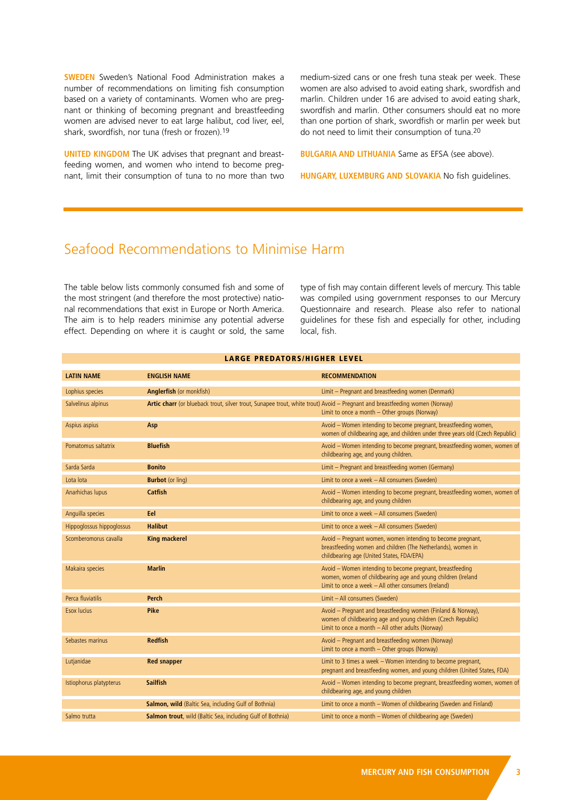**SWEDEN** Sweden's National Food Administration makes a number of recommendations on limiting fish consumption based on a variety of contaminants. Women who are pregnant or thinking of becoming pregnant and breastfeeding women are advised never to eat large halibut, cod liver, eel, shark, swordfish, nor tuna (fresh or frozen).19

**UNITED KINGDOM** The UK advises that pregnant and breastfeeding women, and women who intend to become pregnant, limit their consumption of tuna to no more than two medium-sized cans or one fresh tuna steak per week. These women are also advised to avoid eating shark, swordfish and marlin. Children under 16 are advised to avoid eating shark, swordfish and marlin. Other consumers should eat no more than one portion of shark, swordfish or marlin per week but do not need to limit their consumption of tuna.20

**Bulgaria and Lithuania** Same as EFSA (see above).

**Hungary, Luxemburg and Slovakia** No fish guidelines.

# Seafood Recommendations to Minimise Harm

The table below lists commonly consumed fish and some of the most stringent (and therefore the most protective) national recommendations that exist in Europe or North America. The aim is to help readers minimise any potential adverse effect. Depending on where it is caught or sold, the same type of fish may contain different levels of mercury. This table was compiled using government responses to our Mercury Questionnaire and research. Please also refer to national guidelines for these fish and especially for other, including local, fish.

| LARGE PREDATORS/HIGHER LEVEL |                                                                                                                             |                                                                                                                                                                                    |  |  |  |
|------------------------------|-----------------------------------------------------------------------------------------------------------------------------|------------------------------------------------------------------------------------------------------------------------------------------------------------------------------------|--|--|--|
| <b>LATIN NAME</b>            | <b>ENGLISH NAME</b>                                                                                                         | <b>RECOMMENDATION</b>                                                                                                                                                              |  |  |  |
| Lophius species              | Anglerfish (or monkfish)                                                                                                    | Limit - Pregnant and breastfeeding women (Denmark)                                                                                                                                 |  |  |  |
| Salvelinus alpinus           | Artic charr (or blueback trout, silver trout, Sunapee trout, white trout) Avoid - Pregnant and breastfeeding women (Norway) | Limit to once a month - Other groups (Norway)                                                                                                                                      |  |  |  |
| Aspius aspius                | Asp                                                                                                                         | Avoid - Women intending to become pregnant, breastfeeding women,<br>women of childbearing age, and children under three years old (Czech Republic)                                 |  |  |  |
| Pomatomus saltatrix          | <b>Bluefish</b>                                                                                                             | Avoid - Women intending to become pregnant, breastfeeding women, women of<br>childbearing age, and young children.                                                                 |  |  |  |
| Sarda Sarda                  | <b>Bonito</b>                                                                                                               | Limit - Pregnant and breastfeeding women (Germany)                                                                                                                                 |  |  |  |
| Lota lota                    | <b>Burbot</b> (or ling)                                                                                                     | Limit to once a week - All consumers (Sweden)                                                                                                                                      |  |  |  |
| Anarhichas lupus             | Catfish                                                                                                                     | Avoid - Women intending to become pregnant, breastfeeding women, women of<br>childbearing age, and young children                                                                  |  |  |  |
| Anguilla species             | Eel                                                                                                                         | Limit to once a week - All consumers (Sweden)                                                                                                                                      |  |  |  |
| Hippoglossus hippoglossus    | <b>Halibut</b>                                                                                                              | Limit to once a week - All consumers (Sweden)                                                                                                                                      |  |  |  |
| Scomberomorus cavalla        | <b>King mackerel</b>                                                                                                        | Avoid - Pregnant women, women intending to become pregnant,<br>breastfeeding women and children (The Netherlands), women in<br>childbearing age (United States, FDA/EPA)           |  |  |  |
| Makaira species              | <b>Marlin</b>                                                                                                               | Avoid - Women intending to become pregnant, breastfeeding<br>women, women of childbearing age and young children (Ireland<br>Limit to once a week - All other consumers (Ireland)  |  |  |  |
| Perca fluviatilis            | <b>Perch</b>                                                                                                                | Limit - All consumers (Sweden)                                                                                                                                                     |  |  |  |
| Esox lucius                  | Pike                                                                                                                        | Avoid - Pregnant and breastfeeding women (Finland & Norway),<br>women of childbearing age and young children (Czech Republic)<br>Limit to once a month - All other adults (Norway) |  |  |  |
| Sebastes marinus             | <b>Redfish</b>                                                                                                              | Avoid - Pregnant and breastfeeding women (Norway)<br>Limit to once a month - Other groups (Norway)                                                                                 |  |  |  |
| Lutjanidae                   | <b>Red snapper</b>                                                                                                          | Limit to 3 times a week - Women intending to become pregnant,<br>pregnant and breastfeeding women, and young children (United States, FDA)                                         |  |  |  |
| Istiophorus platypterus      | <b>Sailfish</b>                                                                                                             | Avoid - Women intending to become pregnant, breastfeeding women, women of<br>childbearing age, and young children                                                                  |  |  |  |
|                              | Salmon, wild (Baltic Sea, including Gulf of Bothnia)                                                                        | Limit to once a month - Women of childbearing (Sweden and Finland)                                                                                                                 |  |  |  |
| Salmo trutta                 | Salmon trout, wild (Baltic Sea, including Gulf of Bothnia)                                                                  | Limit to once a month - Women of childbearing age (Sweden)                                                                                                                         |  |  |  |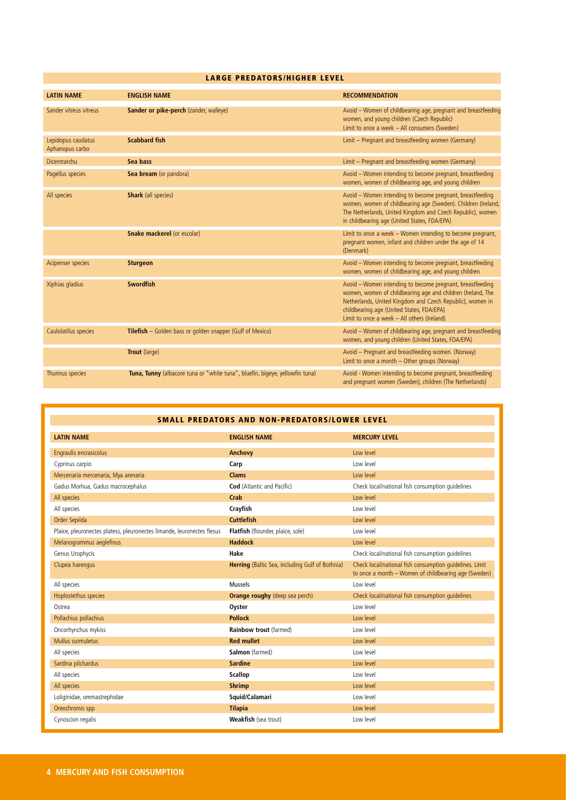#### Large predators/higher level

| <b>LATIN NAME</b>                     | <b>ENGLISH NAME</b>                                                          | <b>RECOMMENDATION</b>                                                                                                                                                                                                                                                               |
|---------------------------------------|------------------------------------------------------------------------------|-------------------------------------------------------------------------------------------------------------------------------------------------------------------------------------------------------------------------------------------------------------------------------------|
| Sander vitreus vitreus                | Sander or pike-perch (zander, walleye)                                       | Avoid - Women of childbearing age, pregnant and breastfeeding<br>women, and young children (Czech Republic)<br>Limit to once a week - All consumers (Sweden)                                                                                                                        |
| Lepidopus caudatus<br>Aphanopus carbo | <b>Scabbard fish</b>                                                         | Limit - Pregnant and breastfeeding women (Germany)                                                                                                                                                                                                                                  |
| Dicentrarchu                          | Sea bass                                                                     | Limit - Pregnant and breastfeeding women (Germany)                                                                                                                                                                                                                                  |
| Pagellus species                      | Sea bream (or pandora)                                                       | Avoid - Women intending to become pregnant, breastfeeding<br>women, women of childbearing age, and young children                                                                                                                                                                   |
| All species                           | <b>Shark</b> (all species)                                                   | Avoid - Women intending to become pregnant, breastfeeding<br>women, women of childbearing age (Sweden). Children (Ireland,<br>The Netherlands, United Kingdom and Czech Republic), women<br>in childbearing age (United States, FDA/EPA)                                            |
|                                       | <b>Snake mackerel (or escolar)</b>                                           | Limit to once a week - Women intending to become pregnant,<br>pregnant women, infant and children under the age of 14<br>(Denmark)                                                                                                                                                  |
| Acipenser species                     | <b>Sturgeon</b>                                                              | Avoid - Women intending to become pregnant, breastfeeding<br>women, women of childbearing age, and young children                                                                                                                                                                   |
| Xiphias gladius                       | <b>Swordfish</b>                                                             | Avoid - Women intending to become pregnant, breastfeeding<br>women, women of childbearing age and children (Ireland, The<br>Netherlands, United Kingdom and Czech Republic), women in<br>childbearing age (United States, FDA/EPA)<br>Limit to once a week $-$ All others (Ireland) |
| Caulolatilus species                  | Tilefish - Golden bass or golden snapper (Gulf of Mexico)                    | Avoid - Women of childbearing age, pregnant and breastfeeding<br>women, and young children (United States, FDA/EPA)                                                                                                                                                                 |
|                                       | Trout (large)                                                                | Avoid - Pregnant and breastfeeding women. (Norway)<br>Limit to once a month - Other groups (Norway)                                                                                                                                                                                 |
| Thunnus species                       | Tuna, Tunny (albacore tuna or "white tuna", bluefin, bigeye, yellowfin tuna) | Avoid - Women intending to become pregnant, breastfeeding<br>and pregnant women (Sweden), children (The Netherlands)                                                                                                                                                                |

| <b>SMALL PREDATORS AND NON-PREDATORS/LOWER LEVEL</b>                   |                                                 |                                                                                                                 |  |  |
|------------------------------------------------------------------------|-------------------------------------------------|-----------------------------------------------------------------------------------------------------------------|--|--|
| <b>LATIN NAME</b>                                                      | <b>ENGLISH NAME</b>                             | <b>MERCURY LEVEL</b>                                                                                            |  |  |
| Engraulis encrasicolus                                                 | <b>Anchovy</b>                                  | Low level                                                                                                       |  |  |
| Cyprinus carpio                                                        | Carp                                            | Low level                                                                                                       |  |  |
| Mercenaria mercenaria, Mya arenaria                                    | Clams                                           | Low level                                                                                                       |  |  |
| Gadus Morhua, Gadus macrocephalus                                      | <b>Cod</b> (Atlantic and Pacific)               | Check local/national fish consumption quidelines                                                                |  |  |
| All species                                                            | Crab                                            | Low level                                                                                                       |  |  |
| All species                                                            | Crayfish                                        | Low level                                                                                                       |  |  |
| Order Sepiida                                                          | <b>Cuttlefish</b>                               | Low level                                                                                                       |  |  |
| Plaice, pleuronectes platess, pleuronectes limande, leuronectes flesus | Flatfish (flounder, plaice, sole)               | Low level                                                                                                       |  |  |
| Melanogrammus aeglefinus                                               | <b>Haddock</b>                                  | Low level                                                                                                       |  |  |
| Genus Urophycis                                                        | Hake                                            | Check local/national fish consumption quidelines                                                                |  |  |
| Clupea harengus                                                        | Herring (Baltic Sea, including Gulf of Bothnia) | Check local/national fish consumption quidelines. Limit<br>to once a month - Women of childbearing age (Sweden) |  |  |
| All species                                                            | Mussels                                         | Low level                                                                                                       |  |  |
| Hoplostethus species                                                   | <b>Orange roughy (deep sea perch)</b>           | Check local/national fish consumption quidelines                                                                |  |  |
| Ostrea                                                                 | Oyster                                          | Low level                                                                                                       |  |  |
| Pollachius pollachius                                                  | <b>Pollock</b>                                  | Low level                                                                                                       |  |  |
| Oncorhynchus mykiss                                                    | Rainbow trout (farmed)                          | Low level                                                                                                       |  |  |
| Mullus surmuletus                                                      | <b>Red mullet</b>                               | Low level                                                                                                       |  |  |
| All species                                                            | Salmon (farmed)                                 | Low level                                                                                                       |  |  |
| Sardina pilchardus                                                     | <b>Sardine</b>                                  | Low level                                                                                                       |  |  |
| All species                                                            | <b>Scallop</b>                                  | Low level                                                                                                       |  |  |
| All species                                                            | <b>Shrimp</b>                                   | Low level                                                                                                       |  |  |
| Loliginidae, ommastrephidae                                            | Squid/Calamari                                  | Low level                                                                                                       |  |  |
| Oreochromis spp                                                        | <b>Tilapia</b>                                  | Low level                                                                                                       |  |  |
| Cynoscion regalis                                                      | Weakfish (sea trout)                            | Low level                                                                                                       |  |  |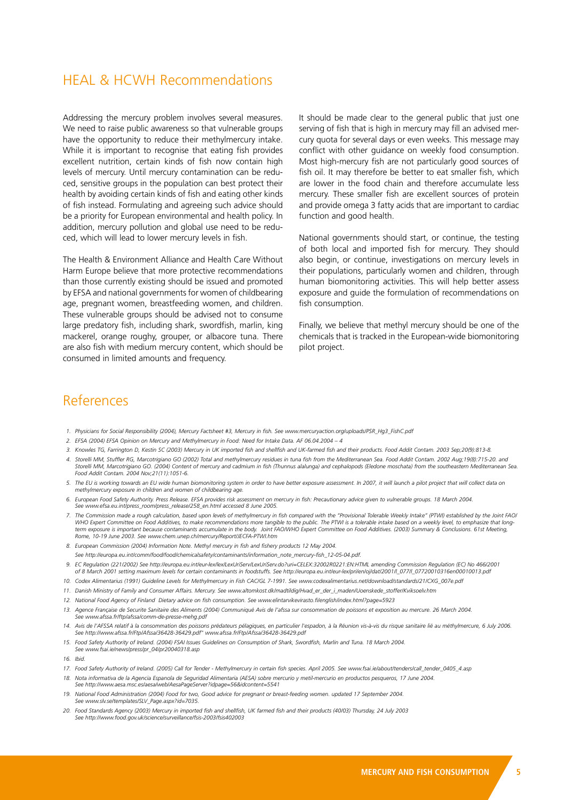### HEAL & HCWH Recommendations

Addressing the mercury problem involves several measures. We need to raise public awareness so that vulnerable groups have the opportunity to reduce their methylmercury intake. While it is important to recognise that eating fish provides excellent nutrition, certain kinds of fish now contain high levels of mercury. Until mercury contamination can be reduced, sensitive groups in the population can best protect their health by avoiding certain kinds of fish and eating other kinds of fish instead. Formulating and agreeing such advice should be a priority for European environmental and health policy. In addition, mercury pollution and global use need to be reduced, which will lead to lower mercury levels in fish.

The Health & Environment Alliance and Health Care Without Harm Europe believe that more protective recommendations than those currently existing should be issued and promoted by EFSA and national governments for women of childbearing age, pregnant women, breastfeeding women, and children. These vulnerable groups should be advised not to consume large predatory fish, including shark, swordfish, marlin, king mackerel, orange roughy, grouper, or albacore tuna. There are also fish with medium mercury content, which should be consumed in limited amounts and frequency.

It should be made clear to the general public that just one serving of fish that is high in mercury may fill an advised mercury quota for several days or even weeks. This message may conflict with other guidance on weekly food consumption. Most high-mercury fish are not particularly good sources of fish oil. It may therefore be better to eat smaller fish, which are lower in the food chain and therefore accumulate less mercury. These smaller fish are excellent sources of protein and provide omega 3 fatty acids that are important to cardiac function and good health.

National governments should start, or continue, the testing of both local and imported fish for mercury. They should also begin, or continue, investigations on mercury levels in their populations, particularly women and children, through human biomonitoring activities. This will help better assess exposure and guide the formulation of recommendations on fish consumption.

Finally, we believe that methyl mercury should be one of the chemicals that is tracked in the European-wide biomonitoring pilot project.

## References

- 1. Physicians for Social Responsibility (2004), Mercury Factsheet #3, Mercury in fish. See www.mercuryaction.org/uploads/PSR\_Hg3\_FishC.pdf
- 2. EFSA (2004) EFSA Opinion on Mercury and Methylmercury in Food: Need for Intake Data. AF 06.04.2004 4
- 3. Knowles TG, Farrington D, Kestin SC (2003) Mercury in UK imported fish and shellfish and UK-farmed fish and their products. Food Addit Contam. 2003 Sep;20(9):813-8.
- 4. Storelli MM, Stuffler RG, Marcotrigiano GO (2002) Total and methylmercury residues in tuna fish from the Mediterranean Sea. Food Addit Contam. 2002 Auq;19(8):715-20. and Storelli MM, Marcotrigiano GO. (2004) Content of mercury and cadmium in fish (Thunnus alalunga) and cephalopods (Eledone moschata) from the southeastern Mediterranean Sea.<br>Food Addit Contam. 2004 Nov;21(11):1051-6.
- 5. The EU is working towards an EU wide human biomonitoring system in order to have better exposure assessment. In 2007, it will launch a pilot project that will collect data on  *methylmercury exposure in children and women of childbearing age.*
- 6. European Food Safety Authority. Press Release. EFSA provides risk assessment on mercury in fish: Precautionary advice given to vulnerable groups. 18 March 2004  *See www.efsa.eu.int/press\_room/press\_release/258\_en.html accessed 8 June 2005.*
- 7. The Commission made a rough calculation, based upon levels of methylmercury in fish compared with the "Provisional Tolerable Weekly Intake" (PTWI) established by the Joint FAO/ WHO Expert Committee on Food Additives, to make recommendations more tangible to the public. The PTWI is a tolerable intake based on a weekly level, to empha term exposure is important because contaminants accumulate in the body. Joint FAO/WHO Expert Committee on Food Additives. (2003) Summary & Conclusions. 61st Meeting,  *Rome, 10-19 June 2003. See www.chem.unep.ch/mercury/Report/JECFA-PTWI.htm*
- *8. European Commission (2004) Information Note. Methyl mercury in fish and fishery products 12 May 2004.*
- *See http://europa.eu.int/comm/food/food/chemicalsafety/contaminants/information\_note\_mercury-fish\_12-05-04.pdf.*
- 9. EC Regulation (221/2002) See http://europa.eu.int/eur-lex/lex/LexUriServ/LexUriServ.do?uri=CELEX:32002R0221:EN:HTML amending Commission Regulation (EC) No 466/2001 of 8 March 2001 setting maximum levels for certain contaminants in foodstuffs. See http://europa.eu.int/eur-lex/pri/en/oi/dat/2001/l 077/l 07720010316en00010013.pdf
- 10. Codex Alimentarius (1991) Guideline Levels for Methylmercury in Fish CAC/GL 7-1991. See www.codexalimentarius.net/download/standards/21/CXG\_007e.pdf
- *11. Danish Ministry of Family and Consumer Affairs. Mercury. See www.altomkost.dk/madtildig/Hvad\_er\_der\_i\_maden/Uoenskede\_stoffer/Kviksoelv.htm*
- 
- *12. National Food Agency of Finland Dietary advice on fish consumption. See www.elintarvikevirasto.fi/english/index.html?page=5923*
- 13. Agence Française de Securite Sanitaire des Aliments (2004) Communiqué Avis de l'afssa sur consommation de poissons et exposition au mercure. 26 March 2004.  *See www.afssa.fr/ftp/afssa/comm-de-presse-mehg.pdf*
- .4. Avis de l'AFSSA relatif à la consommation des poissons prédateurs pélagiques, en particulier l'espadon, à la Réunion vis-à-vis du risque sanitaire lié au méthylmercure, 6 July 2006.<br>See http://www.afssa.fr/Ftp/Afssa/36
- 15. Food Safety Authority of Ireland. (2004) FSAI Issues Guidelines on Consumption of Shark, Swordfish, Marlin and Tuna. 18 March 2004.  *See www.fsai.ie/news/press/pr\_04/pr20040318.asp*
- *16. Ibid.*
- 17. Food Safety Authority of Ireland. (2005) Call for Tender Methylmercury in certain fish species. April 2005. See www.fsai.ie/about/tenders/call\_tender\_0405\_4.asp
- 18. Nota informativa de la Agencia Espanola de Seguridad Alimentaria (AESA) sobre mercurio y metil-mercurio en productos pesqueros, 17 June 2004.  *See http://www.aesa.msc.es/aesa/web/AesaPageServer?idpage=56&idcontent=5541*
- 19. National Food Administration (2004) Food for two, Good advice for pregnant or breast-feeding women. updated 17 September 2004.  *See www.slv.se/templates/SLV\_Page.aspx?id=7035.*
- 200 Z0. Food Standards Agency (2003) Mercury in imported fish and shellfish, UK farmed fish and their products (40/03) Thursday, 24 July 2003<br>See http://www.food.gov.uk/science/surveillance/fsis-2003/fsis402003